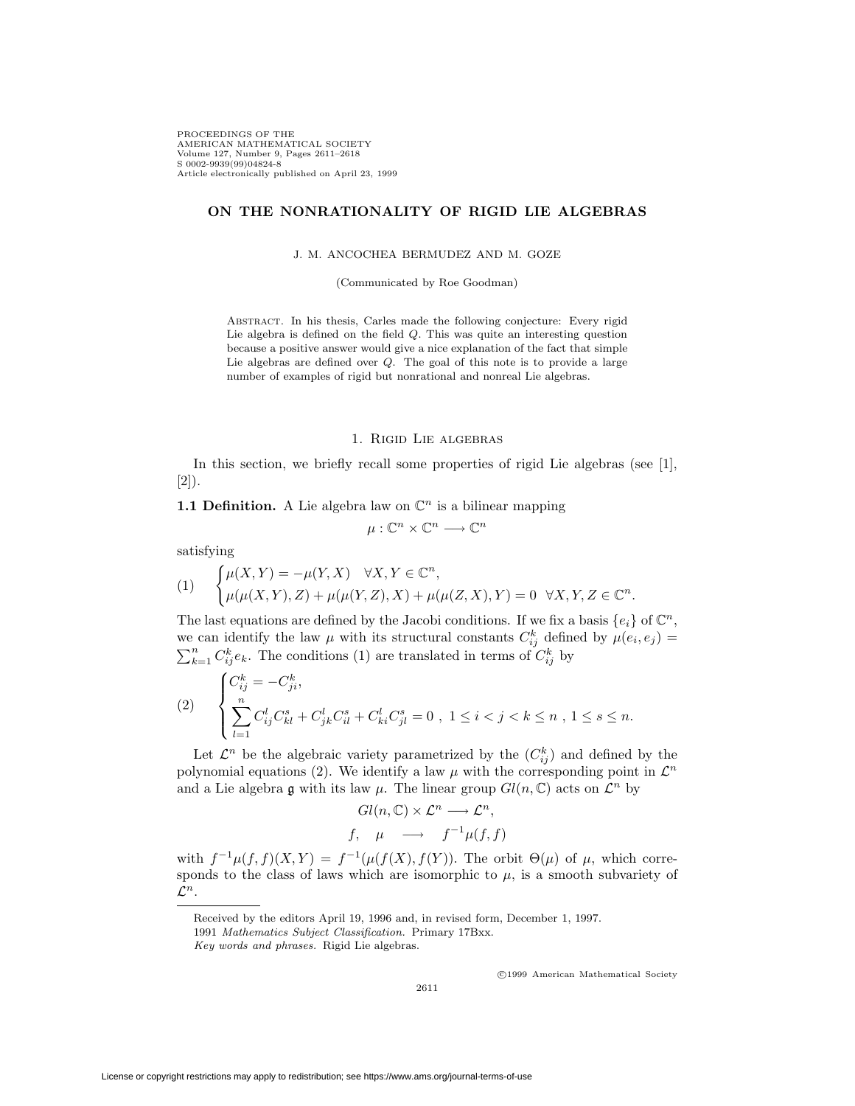PROCEEDINGS OF THE AMERICAN MATHEMATICAL SOCIETY Volume 127, Number 9, Pages 2611–2618 S 0002-9939(99)04824-8 Article electronically published on April 23, 1999

## **ON THE NONRATIONALITY OF RIGID LIE ALGEBRAS**

J. M. ANCOCHEA BERMUDEZ AND M. GOZE

(Communicated by Roe Goodman)

Abstract. In his thesis, Carles made the following conjecture: Every rigid Lie algebra is defined on the field Q. This was quite an interesting question because a positive answer would give a nice explanation of the fact that simple Lie algebras are defined over Q. The goal of this note is to provide a large number of examples of rigid but nonrational and nonreal Lie algebras.

# 1. Rigid Lie algebras

In this section, we briefly recall some properties of rigid Lie algebras (see [1], [2]).

**1.1 Definition.** A Lie algebra law on  $\mathbb{C}^n$  is a bilinear mapping

 $\mu: \mathbb{C}^n \times \mathbb{C}^n \longrightarrow \mathbb{C}^n$ 

satisfying

$$
(1) \qquad \begin{cases} \mu(X,Y)=-\mu(Y,X) & \forall X,Y\in\mathbb{C}^n,\\ \mu(\mu(X,Y),Z)+\mu(\mu(Y,Z),X)+\mu(\mu(Z,X),Y)=0 & \forall X,Y,Z\in\mathbb{C}^n. \end{cases}
$$

The last equations are defined by the Jacobi conditions. If we fix a basis  $\{e_i\}$  of  $\mathbb{C}^n$ , we can identify the law  $\mu$  with its structural constants  $C_{ij}^k$  defined by  $\mu(e_i, e_j) =$  $\sum_{k=1}^{n} C_{ij}^{k} e_k$ . The conditions (1) are translated in terms of  $C_{ij}^{k}$  by

$$
(2) \qquad \begin{cases} C_{ij}^k = -C_{ji}^k, \\ \sum_{l=1}^n C_{ij}^l C_{kl}^s + C_{jk}^l C_{il}^s + C_{ki}^l C_{jl}^s = 0 \text{ , } 1 \leq i < j < k \leq n \text{ , } 1 \leq s \leq n. \end{cases}
$$

Let  $\mathcal{L}^n$  be the algebraic variety parametrized by the  $(C_{ij}^k)$  and defined by the polynomial equations (2). We identify a law  $\mu$  with the corresponding point in  $\mathcal{L}^n$ and a Lie algebra g with its law  $\mu$ . The linear group  $Gl(n,\mathbb{C})$  acts on  $\mathcal{L}^n$  by

$$
Gl(n, \mathbb{C}) \times \mathcal{L}^n \longrightarrow \mathcal{L}^n,
$$
  

$$
f, \quad \mu \quad \longrightarrow \quad f^{-1}\mu(f, f)
$$

with  $f^{-1}\mu(f, f)(X, Y) = f^{-1}(\mu(f(X), f(Y))$ . The orbit  $\Theta(\mu)$  of  $\mu$ , which corresponds to the class of laws which are isomorphic to  $\mu$ , is a smooth subvariety of *L<sup>n</sup>*.

2611

c 1999 American Mathematical Society

Received by the editors April 19, 1996 and, in revised form, December 1, 1997.

<sup>1991</sup> *Mathematics Subject Classification.* Primary 17Bxx.

*Key words and phrases.* Rigid Lie algebras.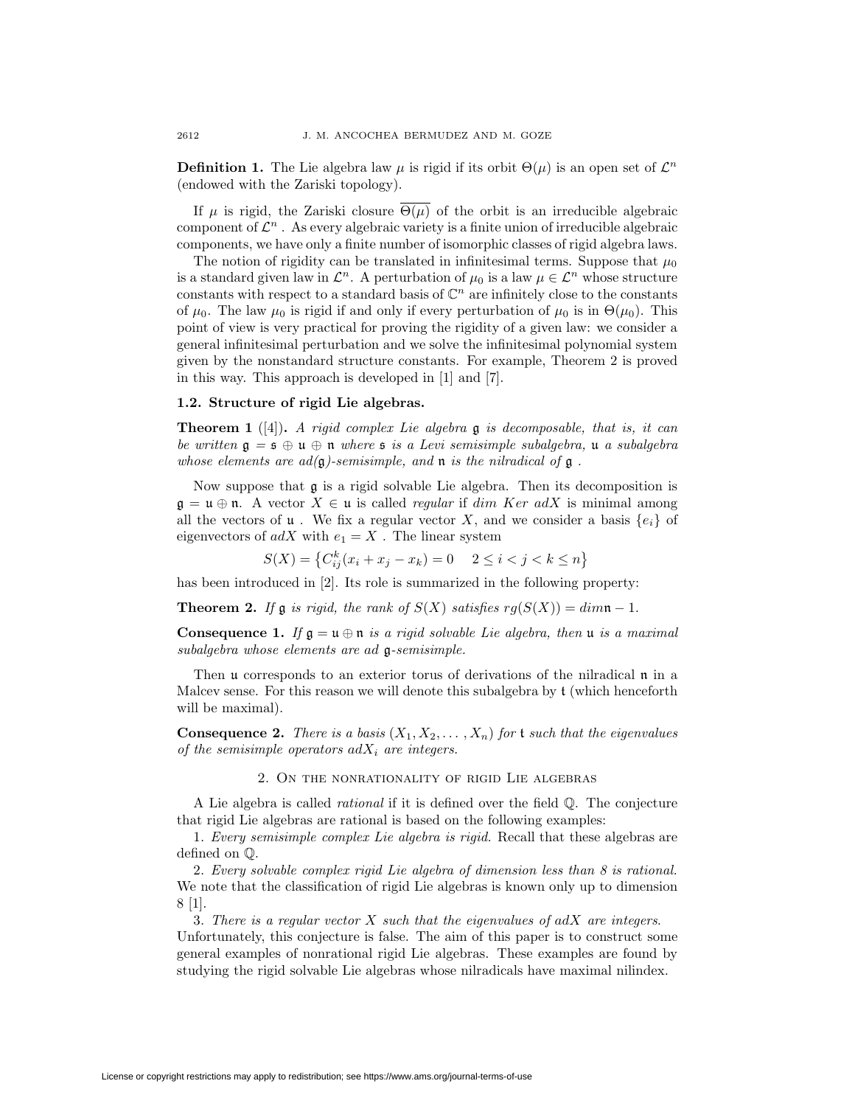**Definition 1.** The Lie algebra law  $\mu$  is rigid if its orbit  $\Theta(\mu)$  is an open set of  $\mathcal{L}^n$ (endowed with the Zariski topology).

If  $\mu$  is rigid, the Zariski closure  $\overline{\Theta(\mu)}$  of the orbit is an irreducible algebraic component of  $\mathcal{L}^n$ . As every algebraic variety is a finite union of irreducible algebraic components, we have only a finite number of isomorphic classes of rigid algebra laws.

The notion of rigidity can be translated in infinitesimal terms. Suppose that  $\mu_0$ is a standard given law in  $\mathcal{L}^n$ . A perturbation of  $\mu_0$  is a law  $\mu \in \mathcal{L}^n$  whose structure constants with respect to a standard basis of  $\mathbb{C}^n$  are infinitely close to the constants of  $μ_0$ . The law  $μ_0$  is rigid if and only if every perturbation of  $μ_0$  is in  $Θ(μ_0)$ . This point of view is very practical for proving the rigidity of a given law: we consider a general infinitesimal perturbation and we solve the infinitesimal polynomial system given by the nonstandard structure constants. For example, Theorem 2 is proved in this way. This approach is developed in [1] and [7].

#### **1.2. Structure of rigid Lie algebras.**

**Theorem 1** ([4])**.** *A rigid complex Lie algebra* g *is decomposable, that is, it can be written* g *<sup>=</sup>* s *<sup>⊕</sup>* u *<sup>⊕</sup>* n *where* s *is a Levi semisimple subalgebra,* u *a subalgebra whose elements are*  $ad(\mathfrak{g})$ *-semisimple, and*  $\mathfrak{n}$  *is the nilradical of*  $\mathfrak{g}$ .

Now suppose that  $\mathfrak g$  is a rigid solvable Lie algebra. Then its decomposition is  $\mathfrak{g} = \mathfrak{u} \oplus \mathfrak{n}$ . A vector  $X \in \mathfrak{u}$  is called *regular* if *dim Ker adX* is minimal among all the vectors of **u**. We fix a regular vector X, and we consider a basis  $\{e_i\}$  of eigenvectors of  $adX$  with  $e_1 = X$ . The linear system

 $S(X) = \{C_{ij}^k(x_i + x_j - x_k) = 0 \quad 2 \le i < j < k \le n\}$ 

has been introduced in [2]. Its role is summarized in the following property:

**Theorem 2.** *If*  $\mathfrak{g}$  *is rigid, the rank of*  $S(X)$  *satisfies*  $rg(S(X)) = dim \mathfrak{n} - 1$ *.* 

**Consequence 1.** *If*  $\mathfrak{g} = \mathfrak{u} \oplus \mathfrak{n}$  *is a rigid solvable Lie algebra, then*  $\mathfrak{u}$  *is a maximal subalgebra whose elements are ad* g*-semisimple.*

Then u corresponds to an exterior torus of derivations of the nilradical n in a Malcev sense. For this reason we will denote this subalgebra by t (which henceforth will be maximal).

**Consequence 2.** *There is a basis*  $(X_1, X_2, \ldots, X_n)$  *for* **t** *such that the eigenvalues of the semisimple operators*  $adX_i$  *are integers.* 

#### 2. On the nonrationality of rigid Lie algebras

A Lie algebra is called *rational* if it is defined over the field Q. The conjecture that rigid Lie algebras are rational is based on the following examples:

1. *Every semisimple complex Lie algebra is rigid.* Recall that these algebras are defined on Q.

2. *Every solvable complex rigid Lie algebra of dimension less than 8 is rational.* We note that the classification of rigid Lie algebras is known only up to dimension 8 [1].

3. *There is a regular vector X such that the eigenvalues of adX are integers*. Unfortunately, this conjecture is false. The aim of this paper is to construct some general examples of nonrational rigid Lie algebras. These examples are found by studying the rigid solvable Lie algebras whose nilradicals have maximal nilindex.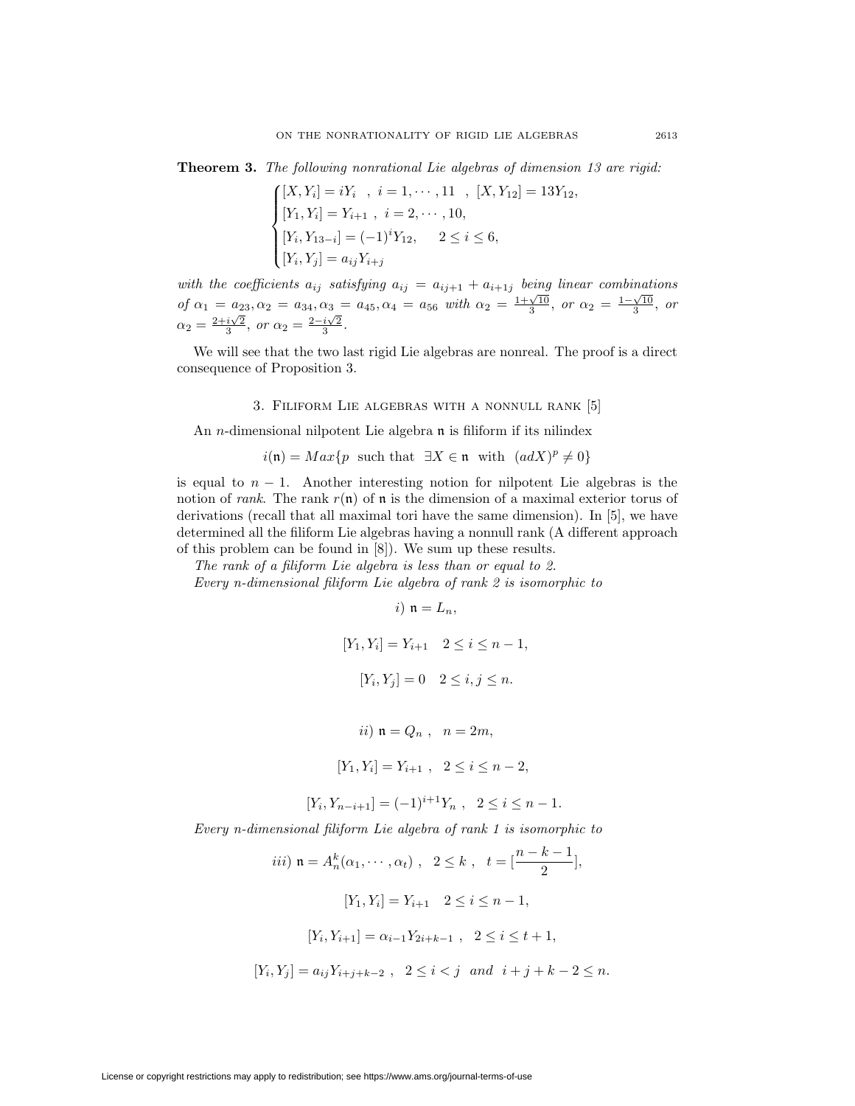**Theorem 3.** *The following nonrational Lie algebras of dimension 13 are rigid:*

$$
\begin{cases}\n[X, Y_i] = iY_i, \ i = 1, \cdots, 11, [X, Y_{12}] = 13Y_{12}, \\
[Y_1, Y_i] = Y_{i+1}, \ i = 2, \cdots, 10, \\
[Y_i, Y_{13-i}] = (-1)^i Y_{12}, \quad 2 \le i \le 6, \\
[Y_i, Y_j] = a_{ij} Y_{i+j}\n\end{cases}
$$

*with the coefficients*  $a_{ij}$  *satisfying*  $a_{ij} = a_{ij+1} + a_{i+1j}$  *being linear combinations*  $of \ \alpha_1 = a_{23}, \alpha_2 = a_{34}, \alpha_3 = a_{45}, \alpha_4 = a_{56} \ \text{with} \ \alpha_2 = \frac{1+\sqrt{10}}{3}, \ \text{or} \ \alpha_2 = \frac{1-\sqrt{10}}{3}, \ \text{or} \ \alpha_3 = \frac{1-\sqrt{10}}{3}, \ \text{or} \ \alpha_4 = a_{45} \ \text{with} \ \alpha_5 = a_{46} \ \text{with} \ \alpha_6 = a_{46} \ \text{with} \ \alpha_7 = a_{46} \ \text{with} \ \alpha_8 = a_{46} \ \text{with} \ \alpha_9 = a_{46} \$  $\alpha_2 = \frac{2+i\sqrt{2}}{3}, \text{ or } \alpha_2 = \frac{2-i\sqrt{2}}{3}.$ 

We will see that the two last rigid Lie algebras are nonreal. The proof is a direct consequence of Proposition 3.

## 3. Filiform Lie algebras with a nonnull rank [5]

An *n*-dimensional nilpotent Lie algebra **n** is filiform if its nilindex

$$
i(\mathfrak{n}) = Max\{p \text{ such that } \exists X \in \mathfrak{n} \text{ with } (adX)^p \neq 0\}
$$

is equal to  $n-1$ . Another interesting notion for nilpotent Lie algebras is the notion of *rank*. The rank  $r(n)$  of n is the dimension of a maximal exterior torus of derivations (recall that all maximal tori have the same dimension). In [5], we have determined all the filiform Lie algebras having a nonnull rank (A different approach of this problem can be found in [8]). We sum up these results.

*The rank of a filiform Lie algebra is less than or equal to 2.*

*Every n-dimensional filiform Lie algebra of rank 2 is isomorphic to*

$$
i) \space \mathfrak{n} = L_n,
$$
\n
$$
[Y_1, Y_i] = Y_{i+1} \quad 2 \leq i \leq n-1,
$$
\n
$$
[Y_i, Y_j] = 0 \quad 2 \leq i, j \leq n.
$$
\n
$$
ii) \space \mathfrak{n} = Q_n \quad, \space n = 2m,
$$
\n
$$
[Y_1, Y_i] = Y_{i+1} \quad 2 \leq i \leq n-2,
$$
\n
$$
[Y_i, Y_{n-i+1}] = (-1)^{i+1} Y_n \quad 2 \leq i \leq n-1.
$$
\n
$$
Every \space n\text{-dimensional filiform Lie algebra of rank 1 is isomorphic to}
$$
\n
$$
iii) \space \mathfrak{n} = A_n^k(\alpha_1, \cdots, \alpha_t) \quad 2 \leq k \quad t = \left[\frac{n-k-1}{2}\right],
$$
\n
$$
[Y_1, Y_i] = Y_{i+1} \quad 2 \leq i \leq n-1,
$$

$$
[Y_i, Y_{i+1}] = \alpha_{i-1} Y_{2i+k-1} , \quad 2 \le i \le t+1,
$$

$$
[Y_i, Y_j] = a_{ij} Y_{i+j+k-2} , \ \ 2 \le i < j \ \ and \ \ i+j+k-2 \le n.
$$

License or copyright restrictions may apply to redistribution; see https://www.ams.org/journal-terms-of-use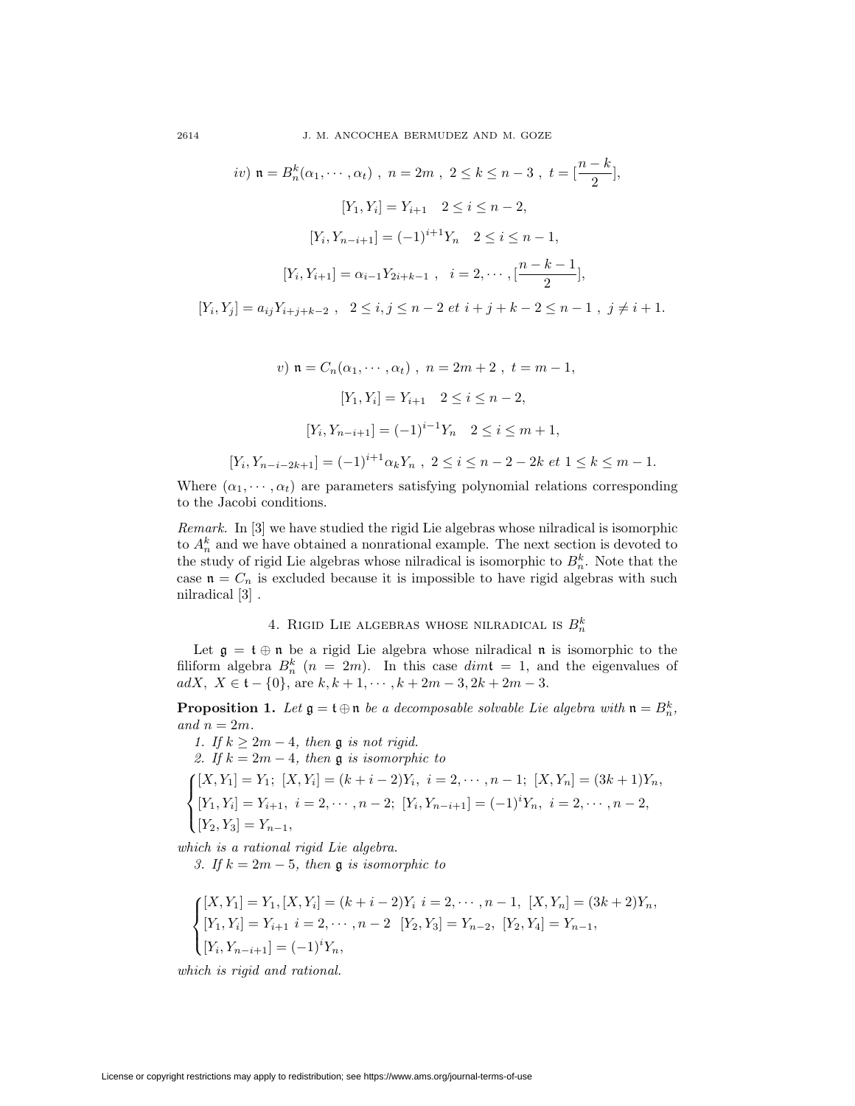2614 J. M. ANCOCHEA BERMUDEZ AND M. GOZE

$$
iv) \mathbf{n} = B_n^k(\alpha_1, \dots, \alpha_t) , \ n = 2m , \ 2 \le k \le n - 3 , \ t = \left[\frac{n - k}{2}\right],
$$

$$
[Y_1, Y_i] = Y_{i+1} \quad 2 \le i \le n - 2,
$$

$$
[Y_i, Y_{n-i+1}] = (-1)^{i+1} Y_n \quad 2 \le i \le n - 1,
$$

$$
[Y_i, Y_{i+1}] = \alpha_{i-1} Y_{2i+k-1} , \ i = 2, \dots, \left[\frac{n - k - 1}{2}\right],
$$

$$
[Y_i, Y_j] = a_{ij} Y_{i+j+k-2} , \ 2 \le i, j \le n - 2 \text{ et } i + j + k - 2 \le n - 1 , \ j \ne i + 1.
$$

v) 
$$
\mathfrak{n} = C_n(\alpha_1, \dots, \alpha_t), \quad n = 2m + 2, \quad t = m - 1,
$$
  
\n
$$
[Y_1, Y_i] = Y_{i+1} \quad 2 \le i \le n - 2,
$$
\n
$$
[Y_i, Y_{n-i+1}] = (-1)^{i-1} Y_n \quad 2 \le i \le m + 1,
$$
\n
$$
[Y_i, Y_{n-i-2k+1}] = (-1)^{i+1} \alpha_k Y_n, \quad 2 \le i \le n - 2 - 2k \text{ et } 1 \le k \le m - 1.
$$

Where  $(\alpha_1, \dots, \alpha_t)$  are parameters satisfying polynomial relations corresponding to the Jacobi conditions.

*Remark.* In [3] we have studied the rigid Lie algebras whose nilradical is isomorphic to  $A_n^k$  and we have obtained a nonrational example. The next section is devoted to the study of rigid Lie algebras whose nilradical is isomorphic to  $B_n^k$ . Note that the case  $\mathfrak{n} = C_n$  is excluded because it is impossible to have rigid algebras with such nilradical [3] .

# 4. RIGID LIE ALGEBRAS WHOSE NILRADICAL IS  $B_n^k$

Let  $\mathfrak{g} = \mathfrak{t} \oplus \mathfrak{n}$  be a rigid Lie algebra whose nilradical  $\mathfrak{n}$  is isomorphic to the filiform algebra  $B_n^k$   $(n = 2m)$ . In this case  $dim\mathfrak{t} = 1$ , and the eigenvalues of  $adX$ ,  $X \in \mathfrak{t} - 1$ , are  $k + 1$ ,  $k + 2m - 3$ ,  $2k + 2m - 3$  $adX, X \in \mathfrak{t} - \{0\}, \text{ are } k, k+1, \cdots, k+2m-3, 2k+2m-3.$ 

**Proposition 1.** *Let*  $\mathfrak{g} = \mathfrak{t} \oplus \mathfrak{n}$  *be a decomposable solvable Lie algebra with*  $\mathfrak{n} = B_n^k$ , and  $n = 2m$  $and n = 2m$ .

*1. If*  $k \geq 2m - 4$ , then **g** *is not rigid.*<br>2. *If*  $k = 2m - 4$ , then **g** *is isomorphic to 2. If*  $k = 2m - 4$ *, then* **g** *is isomorphic to*<br> $\mathbf{f}[X, Y_1] = Y_1$ ;  $[X, Y_i] = (k + i - 2)Y_i$ *, i* =  $\frac{1}{2}$  $\mathcal{L}$  $[X, Y_1] = Y_1; [X, Y_i] = (k + i - 2)Y_i, i = 2, \dots, n - 1; [X, Y_n] = (3k + 1)Y_n,$  $[Y_1, Y_i] = Y_{i+1}, i = 2, \cdots, n-2; [Y_i, Y_{n-i+1}] = (-1)^i Y_n, i = 2, \cdots, n-2,$  $[Y_2, Y_3] = Y_{n-1}$ 

*which is a rational rigid Lie algebra.*

*3. If <sup>k</sup>* = 2*<sup>m</sup> <sup>−</sup>* <sup>5</sup>*, then* g *is isomorphic to*

$$
\begin{cases}\n[X, Y_1] = Y_1, [X, Y_i] = (k + i - 2)Y_i \ i = 2, \cdots, n - 1, [X, Y_n] = (3k + 2)Y_n, \\
[Y_1, Y_i] = Y_{i+1} \ i = 2, \cdots, n - 2 \ [Y_2, Y_3] = Y_{n-2}, [Y_2, Y_4] = Y_{n-1}, \\
[Y_i, Y_{n-i+1}] = (-1)^i Y_n,\n\end{cases}
$$

*which is rigid and rational.*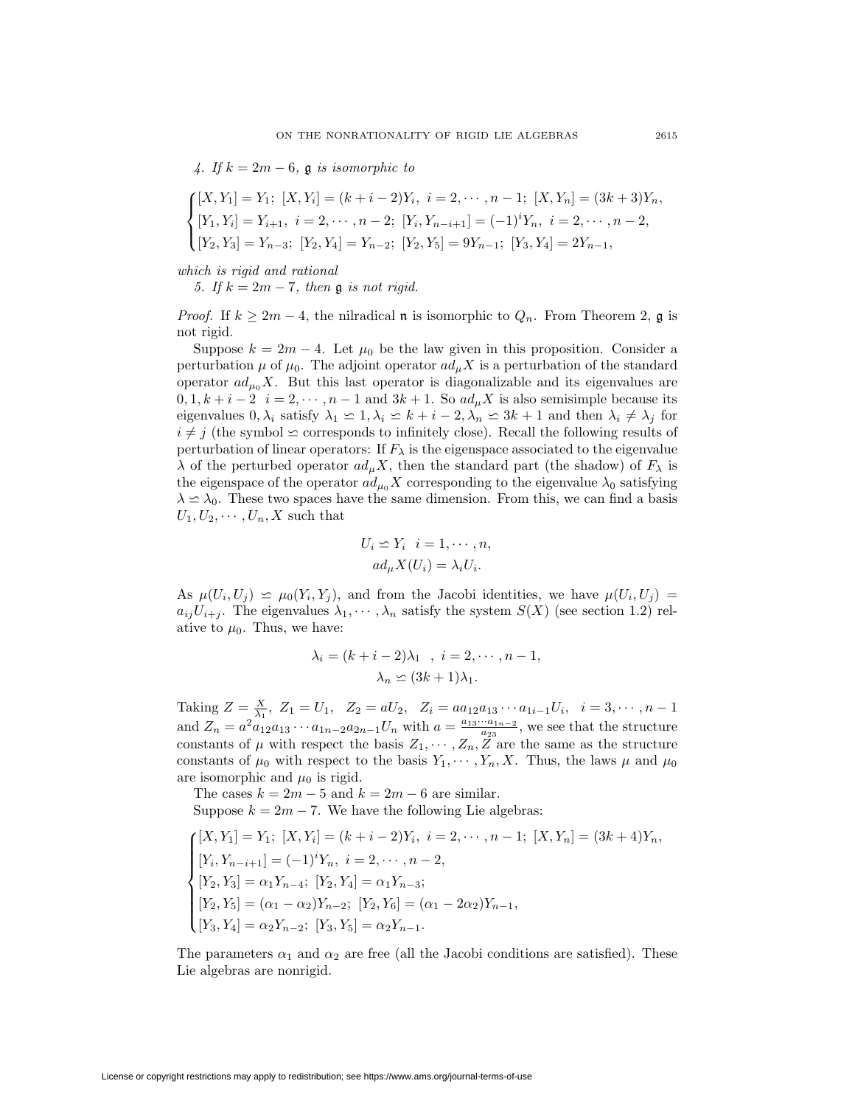*4. If <sup>k</sup>* = 2*<sup>m</sup> <sup>−</sup>* <sup>6</sup>*,* g *is isomorphic to*

$$
\begin{cases}\n[X, Y_1] = Y_1; [X, Y_i] = (k + i - 2)Y_i, \ i = 2, \cdots, n - 1; [X, Y_n] = (3k + 3)Y_n, \\
[Y_1, Y_i] = Y_{i+1}, \ i = 2, \cdots, n - 2; [Y_i, Y_{n-i+1}] = (-1)^i Y_n, \ i = 2, \cdots, n - 2, \\
[Y_2, Y_3] = Y_{n-3}; [Y_2, Y_4] = Y_{n-2}; [Y_2, Y_5] = 9Y_{n-1}; [Y_3, Y_4] = 2Y_{n-1},\n\end{cases}
$$

*which is rigid and rational*

*5. If*  $k = 2m − 7$ *, then* **g** *is not rigid.* 

*Proof.* If  $k \geq 2m - 4$ , the nilradical **n** is isomorphic to  $Q_n$ . From Theorem 2, **g** is not rigid.

Suppose  $k = 2m - 4$ . Let  $\mu_0$  be the law given in this proposition. Consider a perturbation  $\mu$  of  $\mu_0$ . The adjoint operator  $ad_{\mu}X$  is a perturbation of the standard operator  $ad_{\mu_0}X$ . But this last operator is diagonalizable and its eigenvalues are  $0, 1, k+i-2$  *i* = 2,  $\cdots$ , *n* − 1 and 3*k* + 1. So  $ad_{\mu}X$  is also semisimple because its eigenvalues  $0, \lambda_i$  satisfy  $\lambda_1 \leq 1, \lambda_i \leq k + i - 2, \lambda_n \leq 3k + 1$  and then  $\lambda_i \neq \lambda_j$  for  $i \neq j$  (the symbol  $\leq$  corresponds to infinitely close). Recall the following results of perturbation of linear operators: If  $F_{\lambda}$  is the eigenspace associated to the eigenvalue *λ* of the perturbed operator  $a d<sub>μ</sub> X$ , then the standard part (the shadow) of  $F<sub>λ</sub>$  is the eigenspace of the operator  $ad_{\mu_0} X$  corresponding to the eigenvalue  $\lambda_0$  satisfying  $\lambda \simeq \lambda_0$ . These two spaces have the same dimension. From this, we can find a basis  $U_1, U_2, \cdots, U_n, X$  such that

$$
U_i \simeq Y_i \quad i = 1, \cdots, n,
$$

$$
ad_{\mu} X(U_i) = \lambda_i U_i.
$$

As  $\mu(U_i, U_j) \simeq \mu_0(Y_i, Y_j)$ , and from the Jacobi identities, we have  $\mu(U_i, U_j) =$  $a_{ij}U_{i+j}$ . The eigenvalues  $\lambda_1, \dots, \lambda_n$  satisfy the system  $S(X)$  (see section 1.2) relative to  $\mu_0$ . Thus, we have:

$$
\lambda_i = (k + i - 2)\lambda_1, i = 2, \cdots, n - 1, \lambda_n \le (3k + 1)\lambda_1.
$$

Taking  $Z = \frac{X}{\lambda_1}$ ,  $Z_1 = U_1$ ,  $Z_2 = aU_2$ ,  $Z_i = aa_{12}a_{13} \cdots a_{1i-1}U_i$ ,  $i = 3, \dots, n-1$ and  $Z_n = a^2 a_{12} a_{13} \cdots a_{1n-2} a_{2n-1} U_n$  with  $a = \frac{a_{13} \cdots a_{1n-2}}{a_{23}}$ , we see that the structure constants of  $\mu$  with respect the basis  $Z_1, \dots, Z_n, Z$  are the same as the structure constants of  $\mu_0$  with respect to the basis  $Y_1, \dots, Y_n, X$ . Thus, the laws  $\mu$  and  $\mu_0$ are isomorphic and  $\mu_0$  is rigid.

The cases  $k = 2m - 5$  and  $k = 2m - 6$  are similar. Suppose  $k = 2m - 7$ . We have the following Lie algebras:

$$
\begin{cases}\n[X, Y_1] = Y_1; [X, Y_i] = (k + i - 2)Y_i, i = 2, \dots, n - 1; [X, Y_n] = (3k + 4)Y_n, \\
[Y_i, Y_{n-i+1}] = (-1)^i Y_n, i = 2, \dots, n - 2, \\
[Y_2, Y_3] = \alpha_1 Y_{n-4}; [Y_2, Y_4] = \alpha_1 Y_{n-3}; \\
[Y_2, Y_5] = (\alpha_1 - \alpha_2)Y_{n-2}; [Y_2, Y_6] = (\alpha_1 - 2\alpha_2)Y_{n-1}, \\
[Y_3, Y_4] = \alpha_2 Y_{n-2}; [Y_3, Y_5] = \alpha_2 Y_{n-1}.\n\end{cases}
$$

The parameters  $\alpha_1$  and  $\alpha_2$  are free (all the Jacobi conditions are satisfied). These Lie algebras are nonrigid.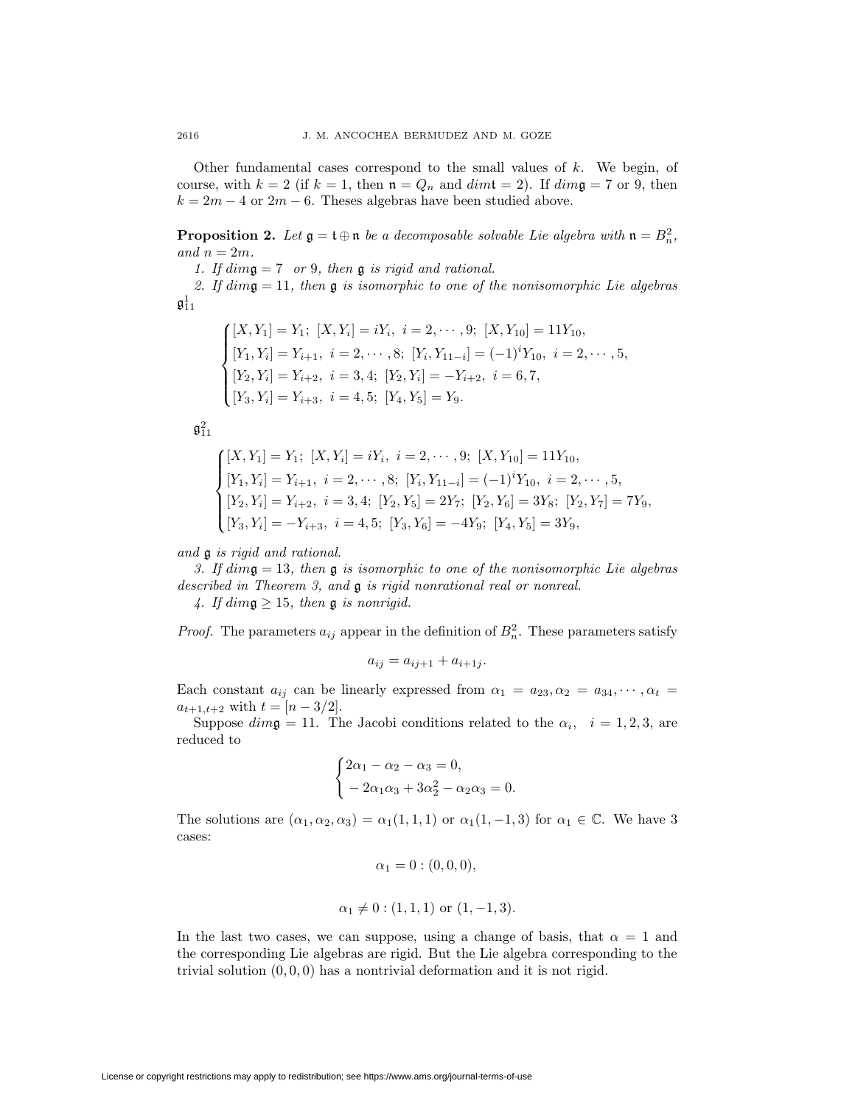Other fundamental cases correspond to the small values of *k*. We begin, of course, with  $k = 2$  (if  $k = 1$ , then  $\mathfrak{n} = Q_n$  and  $dim \mathfrak{t} = 2$ ). If  $dim \mathfrak{g} = 7$  or 9, then  $k = 2m - 4$  or  $2m - 6$ . Theses algebras have been studied above.

**Proposition 2.** Let  $\mathfrak{g} = \mathfrak{t} \oplus \mathfrak{n}$  *be a decomposable solvable Lie algebra with*  $\mathfrak{n} = B_n^2$ , and  $n = 2m$  $and n = 2m$ .

*1. If dim*g = 7 *or* <sup>9</sup>*, then* g *is rigid and rational.*

*2. If dim*g = 11*, then* g *is isomorphic to one of the nonisomorphic Lie algebras*  $\mathfrak{g}_{11}^1$ 

$$
\begin{cases}\n[X, Y_1] = Y_1; [X, Y_i] = iY_i, \ i = 2, \cdots, 9; [X, Y_{10}] = 11Y_{10}, \\
[Y_1, Y_i] = Y_{i+1}, \ i = 2, \cdots, 8; [Y_i, Y_{11-i}] = (-1)^i Y_{10}, \ i = 2, \cdots, 5, \\
[Y_2, Y_i] = Y_{i+2}, \ i = 3, 4; [Y_2, Y_i] = -Y_{i+2}, \ i = 6, 7, \\
[Y_3, Y_i] = Y_{i+3}, \ i = 4, 5; [Y_4, Y_5] = Y_9.\n\end{cases}
$$

 $\mathfrak{g}_{11}^2$ 

$$
\begin{cases}\n[X, Y_1] = Y_1; [X, Y_i] = iY_i, i = 2, \cdots, 9; [X, Y_{10}] = 11Y_{10}, \\
[Y_1, Y_i] = Y_{i+1}, i = 2, \cdots, 8; [Y_i, Y_{11-i}] = (-1)^i Y_{10}, i = 2, \cdots, 5, \\
[Y_2, Y_i] = Y_{i+2}, i = 3, 4; [Y_2, Y_5] = 2Y_7; [Y_2, Y_6] = 3Y_8; [Y_2, Y_7] = 7Y_9, \\
[Y_3, Y_i] = -Y_{i+3}, i = 4, 5; [Y_3, Y_6] = -4Y_9; [Y_4, Y_5] = 3Y_9,\n\end{cases}
$$

*and* g *is rigid and rational.*

*3. If dim*g = 13*, then* g *is isomorphic to one of the nonisomorphic Lie algebras described in Theorem 3, and* g *is rigid nonrational real or nonreal.*

4. If  $\dim \mathfrak{g} \geq 15$ , then  $\mathfrak{g}$  *is nonrigid.* 

*Proof.* The parameters  $a_{ij}$  appear in the definition of  $B_n^2$ . These parameters satisfy

$$
a_{ij} = a_{ij+1} + a_{i+1j}.
$$

Each constant  $a_{ij}$  can be linearly expressed from  $\alpha_1 = a_{23}, \alpha_2 = a_{34}, \cdots, \alpha_t =$  $a_{t+1,t+2}$  with  $t = [n-3/2].$ 

Suppose  $dim\mathfrak{g} = 11$ . The Jacobi conditions related to the  $\alpha_i$ ,  $i = 1, 2, 3$ , are reduced to

$$
\begin{cases} 2\alpha_1 - \alpha_2 - \alpha_3 = 0, \\ -2\alpha_1\alpha_3 + 3\alpha_2^2 - \alpha_2\alpha_3 = 0. \end{cases}
$$

The solutions are  $(\alpha_1, \alpha_2, \alpha_3) = \alpha_1(1, 1, 1)$  or  $\alpha_1(1, -1, 3)$  for  $\alpha_1 \in \mathbb{C}$ . We have 3 cases:

$$
\alpha_1 = 0 : (0, 0, 0),
$$

$$
\alpha_1 \neq 0
$$
: (1,1,1) or (1,-1,3).

In the last two cases, we can suppose, using a change of basis, that  $\alpha = 1$  and the corresponding Lie algebras are rigid. But the Lie algebra corresponding to the trivial solution  $(0,0,0)$  has a nontrivial deformation and it is not rigid.

License or copyright restrictions may apply to redistribution; see https://www.ams.org/journal-terms-of-use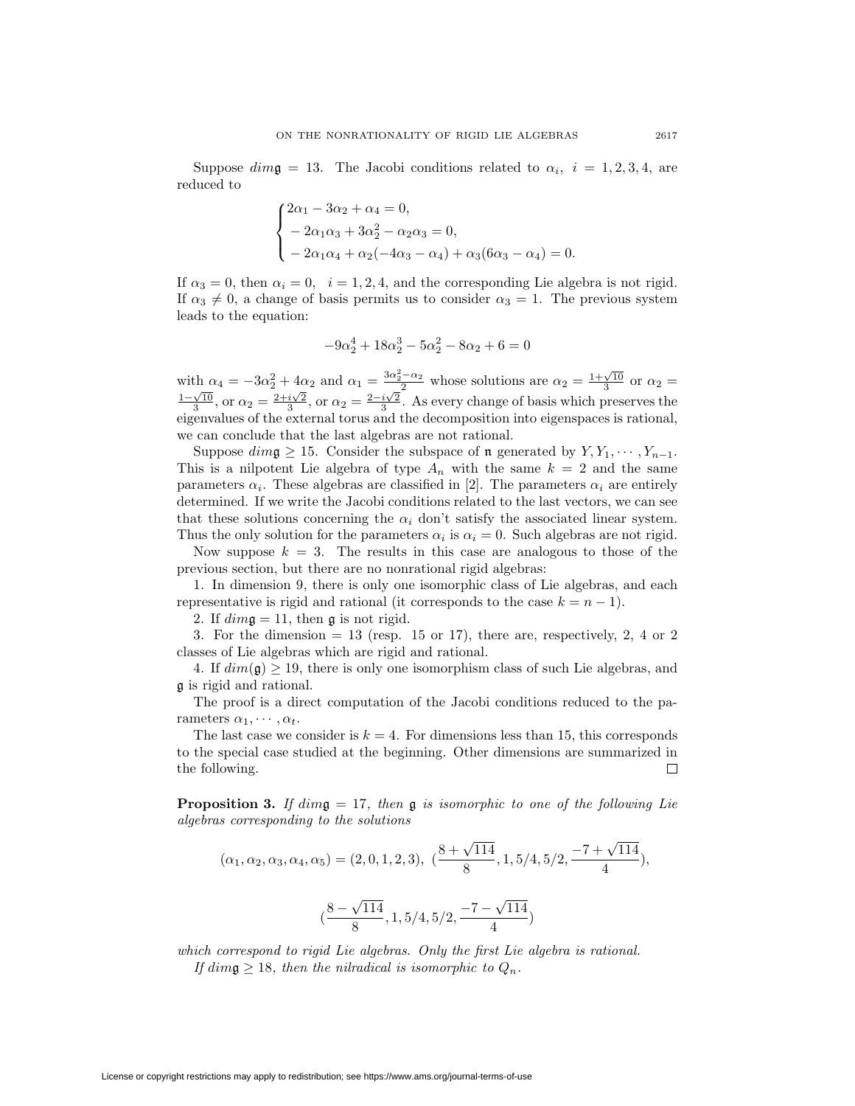Suppose  $dim\mathfrak{g} = 13$ . The Jacobi conditions related to  $\alpha_i$ ,  $i = 1, 2, 3, 4$ , are reduced to

$$
\begin{cases} 2\alpha_1 - 3\alpha_2 + \alpha_4 = 0, \\ -2\alpha_1\alpha_3 + 3\alpha_2^2 - \alpha_2\alpha_3 = 0, \\ -2\alpha_1\alpha_4 + \alpha_2(-4\alpha_3 - \alpha_4) + \alpha_3(6\alpha_3 - \alpha_4) = 0. \end{cases}
$$

If  $\alpha_3 = 0$ , then  $\alpha_i = 0$ ,  $i = 1, 2, 4$ , and the corresponding Lie algebra is not rigid. If  $\alpha_3 \neq 0$ , a change of basis permits us to consider  $\alpha_3 = 1$ . The previous system leads to the equation:

$$
-9\alpha_2^4 + 18\alpha_2^3 - 5\alpha_2^2 - 8\alpha_2 + 6 = 0
$$

with  $\alpha_4 = -3\alpha_2^2 + 4\alpha_2$  and  $\alpha_1 = \frac{3\alpha_2^2 - \alpha_2}{2}$  whose solutions are  $\alpha_2 = \frac{1+\sqrt{10}}{3}$  or  $\alpha_2 =$  $\frac{1-\sqrt{10}}{3}$ , or  $\alpha_2 = \frac{2+i\sqrt{2}}{3}$ , or  $\alpha_2 = \frac{2-i\sqrt{2}}{3}$ . As every change of basis which preserves the eigenvalues of the external torus and the decomposition into eigenspaces is rational, we can conclude that the last algebras are not rational.

Suppose  $dim \mathfrak{g} \geq 15$ . Consider the subspace of **n** generated by  $Y, Y_1, \dots, Y_{n-1}$ . This is a nilpotent Lie algebra of type  $A_n$  with the same  $k = 2$  and the same parameters  $\alpha_i$ . These algebras are classified in [2]. The parameters  $\alpha_i$  are entirely determined. If we write the Jacobi conditions related to the last vectors, we can see that these solutions concerning the  $\alpha_i$  don't satisfy the associated linear system. Thus the only solution for the parameters  $\alpha_i$  is  $\alpha_i = 0$ . Such algebras are not rigid.

Now suppose  $k = 3$ . The results in this case are analogous to those of the previous section, but there are no nonrational rigid algebras:

1. In dimension 9, there is only one isomorphic class of Lie algebras, and each representative is rigid and rational (it corresponds to the case  $k = n - 1$ ).

2. If  $\dim \mathfrak{g} = 11$ , then  $\mathfrak{g}$  is not rigid.

3. For the dimension  $= 13$  (resp. 15 or 17), there are, respectively, 2, 4 or 2 classes of Lie algebras which are rigid and rational.

4. If  $dim(\mathfrak{g}) \geq 19$ , there is only one isomorphism class of such Lie algebras, and g is rigid and rational.

The proof is a direct computation of the Jacobi conditions reduced to the parameters  $\alpha_1, \cdots, \alpha_t$ .

The last case we consider is  $k = 4$ . For dimensions less than 15, this corresponds to the special case studied at the beginning. Other dimensions are summarized in the following.  $\Box$ 

**Proposition 3.** *If dim*g = 17*, then* g *is isomorphic to one of the following Lie algebras corresponding to the solutions*

$$
(\alpha_1, \alpha_2, \alpha_3, \alpha_4, \alpha_5) = (2, 0, 1, 2, 3), \ \ (\frac{8 + \sqrt{114}}{8}, 1, 5/4, 5/2, \frac{-7 + \sqrt{114}}{4}), \\
 (\frac{8 - \sqrt{114}}{8}, 1, 5/4, 5/2, \frac{-7 - \sqrt{114}}{4})
$$

*which correspond to rigid Lie algebras. Only the first Lie algebra is rational. If*  $dim \mathfrak{g} \geq 18$ *, then the nilradical is isomorphic to*  $Q_n$ *.*